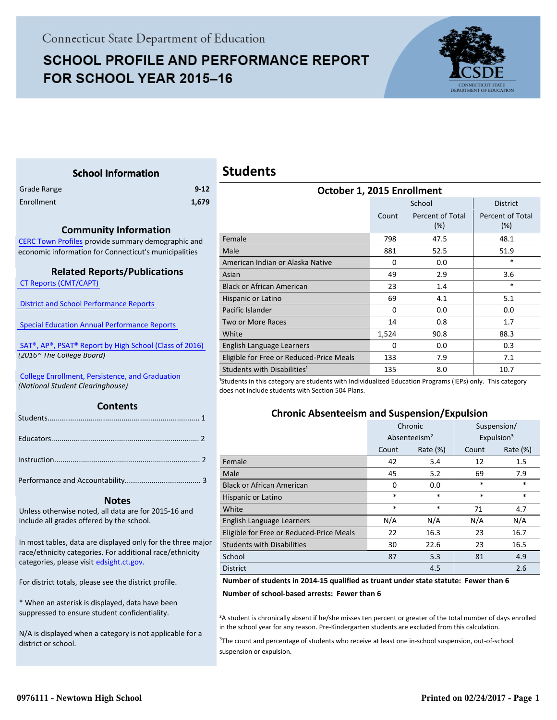# **SCHOOL PROFILE AND PERFORMANCE REPORT** FOR SCHOOL YEAR 2015-16



Percent of Total (%)

#### <span id="page-0-0"></span>**School Information** Grade Range **9-12** Enrollment **1,679 Contents Students October 1, 2015 Enrollment** School District Count Percent of Total (%) Female 798 47.5 48.1 Male 881 52.5 51.9 American Indian or Alaska Native 0 0.0 0.0  $\uparrow$  \* Asian 2.9 2.9 3.6 Black or African American 23 1.4  $\ast$ Hispanic or Latino 69  $\overline{69}$  4.1  $\overline{5.1}$  5.1 Pacific Islander 0 0.0 0.0 0.0 0.0 Two or More Races 14 0.8 1.7 White 2008 1,524 90.8 88.3 English Language Learners **0** 0.0 0.3 Eligible for Free or Reduced-Price Meals 133 7.9 7.1 7.1 Students with Disabilities<sup>1</sup> 135 8.0  $\vert$  10.7 <sup>1</sup>Students in this category are students with Individualized Education Programs (IEPs) only. This category does not include students with Section 504 Plans. **Chronic Absenteeism and Suspension/Expulsion**

|                                          | Chronic                  |             | Suspension/ |                        |
|------------------------------------------|--------------------------|-------------|-------------|------------------------|
|                                          | Absenteeism <sup>2</sup> |             |             | Expulsion <sup>3</sup> |
|                                          | Count                    | Rate $(\%)$ | Count       | Rate $(\%)$            |
| Female                                   | 42                       | 5.4         | 12          | 1.5                    |
| Male                                     | 45                       | 5.2         | 69          | 7.9                    |
| <b>Black or African American</b>         | 0                        | 0.0         | *           | $\ast$                 |
| Hispanic or Latino                       | $\ast$                   | $\ast$      | $\ast$      | $\ast$                 |
| White                                    | $\ast$                   | $\ast$      | 71          | 4.7                    |
| English Language Learners                | N/A                      | N/A         | N/A         | N/A                    |
| Eligible for Free or Reduced-Price Meals | 22                       | 16.3        | 23          | 16.7                   |
| <b>Students with Disabilities</b>        | 30                       | 22.6        | 23          | 16.5                   |
| School                                   | 87                       | 5.3         | 81          | 4.9                    |
| <b>District</b>                          |                          | 4.5         |             | 2.6                    |

#### **Number of students in 2014-15 qualified as truant under state statute: Fewer than 6**

**Number of school-based arrests: Fewer than 6**

²A student is chronically absent if he/she misses ten percent or greater of the total number of days enrolled in the school year for any reason. Pre-Kindergarten students are excluded from this calculation.

<sup>3</sup>The count and percentage of students who receive at least one in-school suspension, out-of-school suspension or expulsion.

#### **Community Information**

[CERC Town Profiles provide summary demographic and](http://www.cerc.com/townprofiles/) economic information for Connecticut's municipalities

#### **Related Reports/Publications**

 [CT Reports \(CMT/CAPT\)](http://ctreports.com/) 

 [District and School Performance Reports](http://www.csde.state.ct.us/public/performancereports/reports.asp) 

 [Special Education Annual Performance Reports](http://edsight.ct.gov/SASPortal/main.do) 

 [SAT®, AP®, PSAT® Report by High School \(Class of 2016\)](http://edsight.ct.gov/relatedreports/SAT,%20AP,%20PSAT%20Score%20Summary%20by%20High%20School%20Class%20of%202016.pdf)   *(2016® The College Board)*

 [College Enrollment, Persistence, and Graduation](http://www.sde.ct.gov/sde/cwp/view.asp?a=2758&Q=335288)  *(National Student Clearinghouse)*

|--|--|

#### **Notes**

Unless otherwise noted, all data are for 2015-16 and include all grades offered by the school.

[In most tables, data are displayed only for the three major](http://edsight.ct.gov/) race/ethnicity categories. For additional race/ethnicity categories, please visit edsight.ct.gov.

For district totals, please see the district profile.

\* When an asterisk is displayed, data have been suppressed to ensure student confidentiality.

N/A is displayed when a category is not applicable for a district or school.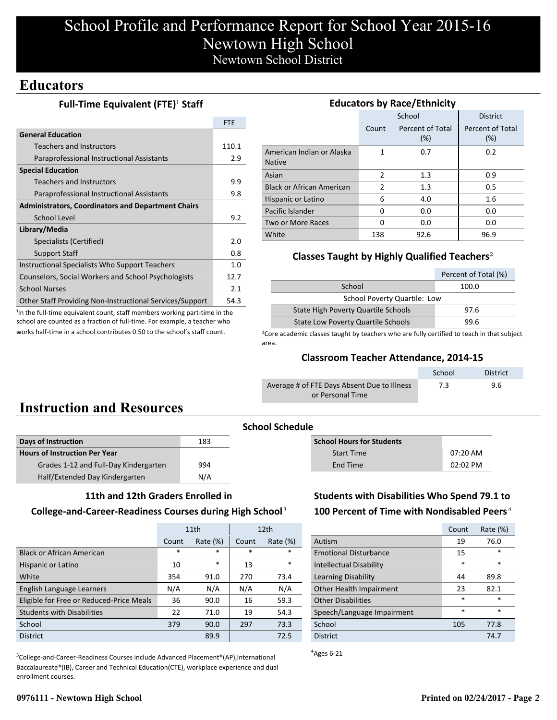### **Educators**

### **Full-Time Equivalent (FTE)<sup>1</sup> Staff**

|                                                                 | <b>FTE</b> |
|-----------------------------------------------------------------|------------|
| <b>General Education</b>                                        |            |
| <b>Teachers and Instructors</b>                                 | 110.1      |
| Paraprofessional Instructional Assistants                       | 2.9        |
| <b>Special Education</b>                                        |            |
| <b>Teachers and Instructors</b>                                 | 9.9        |
| Paraprofessional Instructional Assistants                       | 9.8        |
| <b>Administrators, Coordinators and Department Chairs</b>       |            |
| School Level                                                    | 9.2        |
| Library/Media                                                   |            |
| Specialists (Certified)                                         | 2.0        |
| <b>Support Staff</b>                                            | 0.8        |
| Instructional Specialists Who Support Teachers                  | 1.0        |
| Counselors, Social Workers and School Psychologists             | 12.7       |
| <b>School Nurses</b>                                            | 2.1        |
| <b>Other Staff Providing Non-Instructional Services/Support</b> | 54.3       |

<sup>1</sup>In the full-time equivalent count, staff members working part-time in the school are counted as a fraction of full-time. For example, a teacher who works half-time in a school contributes 0.50 to the school's staff count.

| <b>Educators by Race/Ethnicity</b>         |                                  |        |                         |  |  |  |
|--------------------------------------------|----------------------------------|--------|-------------------------|--|--|--|
|                                            |                                  | School | <b>District</b>         |  |  |  |
|                                            | Percent of Total<br>Count<br>(%) |        | Percent of Total<br>(%) |  |  |  |
| American Indian or Alaska<br><b>Native</b> | 1                                | 0.7    | 0.2                     |  |  |  |
| Asian                                      | 2                                | 1.3    | 0.9                     |  |  |  |
| <b>Black or African American</b>           | 2                                | 1.3    | 0.5                     |  |  |  |
| Hispanic or Latino                         | 6                                | 4.0    | 1.6                     |  |  |  |
| Pacific Islander                           | 0                                | 0.0    | 0.0                     |  |  |  |
| Two or More Races                          | 0                                | 0.0    | 0.0                     |  |  |  |
| White                                      | 138                              | 92.6   | 96.9                    |  |  |  |

### **Classes Taught by Highly Qualified Teachers**²

|                                            | Percent of Total (%) |  |  |  |
|--------------------------------------------|----------------------|--|--|--|
| School                                     | 100.0                |  |  |  |
| School Poverty Quartile: Low               |                      |  |  |  |
| <b>State High Poverty Quartile Schools</b> | 97.6                 |  |  |  |
| <b>State Low Poverty Quartile Schools</b>  | 99.6                 |  |  |  |

<sup>2</sup>Core academic classes taught by teachers who are fully certified to teach in that subject area.

#### **Classroom Teacher Attendance, 2014-15**

|                                             | School | <b>District</b> |
|---------------------------------------------|--------|-----------------|
| Average # of FTE Days Absent Due to Illness | 7.3    | 9.6             |
| or Personal Time                            |        |                 |

# **Instruction and Resources**

| Days of Instruction                   | 183 |
|---------------------------------------|-----|
| <b>Hours of Instruction Per Year</b>  |     |
| Grades 1-12 and Full-Day Kindergarten | 994 |
| Half/Extended Day Kindergarten        | N/A |

# **School Schedule**

| <b>School Hours for Students</b> |            |
|----------------------------------|------------|
| <b>Start Time</b>                | $07:20$ AM |
| End Time                         | $02:02$ PM |

#### **11th and 12th Graders Enrolled in**

#### **College-and-Career-Readiness Courses during High School**³

|                                          | 11th                 |        |        | 12 <sub>th</sub> |
|------------------------------------------|----------------------|--------|--------|------------------|
|                                          | Rate $(\%)$<br>Count |        | Count  | Rate $(\%)$      |
| <b>Black or African American</b>         | $\ast$               | $\ast$ | $\ast$ | $\ast$           |
| Hispanic or Latino                       | 10                   | $\ast$ | 13     | $\ast$           |
| White                                    | 354                  | 91.0   | 270    | 73.4             |
| English Language Learners                | N/A                  | N/A    | N/A    | N/A              |
| Eligible for Free or Reduced-Price Meals | 36                   | 90.0   | 16     | 59.3             |
| <b>Students with Disabilities</b>        | 22                   | 71.0   | 19     | 54.3             |
| School                                   | 379                  | 90.0   | 297    | 73.3             |
| <b>District</b>                          |                      | 89.9   |        | 72.5             |

<sup>3</sup>College-and-Career-Readiness Courses include Advanced Placement®(AP),International Baccalaureate®(IB), Career and Technical Education(CTE), workplace experience and dual enrollment courses.

### **Students with Disabilities Who Spend 79.1 to 100 Percent of Time with Nondisabled Peers**⁴

|                                | Count  | Rate (%) |
|--------------------------------|--------|----------|
| Autism                         | 19     | 76.0     |
| <b>Emotional Disturbance</b>   | 15     | *        |
| <b>Intellectual Disability</b> | $\ast$ | $\ast$   |
| Learning Disability            | 44     | 89.8     |
| Other Health Impairment        | 23     | 82.1     |
| <b>Other Disabilities</b>      | $\ast$ | $\ast$   |
| Speech/Language Impairment     | $\ast$ | $\ast$   |
| School                         | 105    | 77.8     |
| <b>District</b>                |        | 74.7     |

 $A$ <sub>Ages</sub> 6-21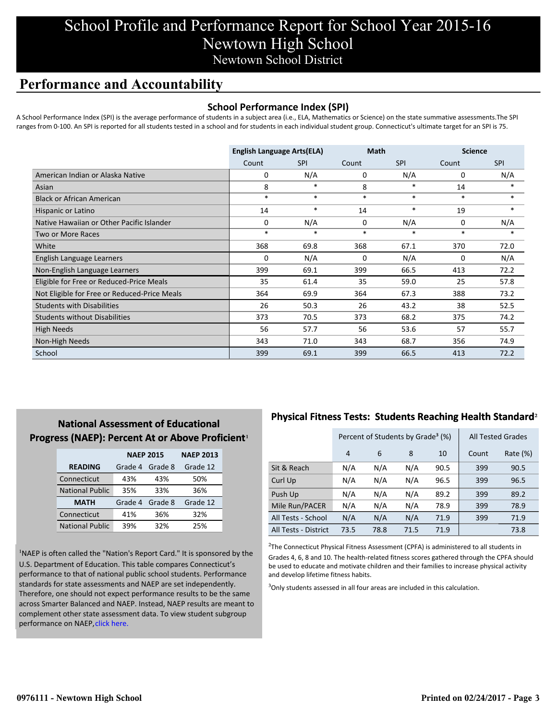### **Performance and Accountability**

#### **School Performance Index (SPI)**

A School Performance Index (SPI) is the average performance of students in a subject area (i.e., ELA, Mathematics or Science) on the state summative assessments.The SPI ranges from 0-100. An SPI is reported for all students tested in a school and for students in each individual student group. Connecticut's ultimate target for an SPI is 75.

|                                              | <b>English Language Arts(ELA)</b> |            | <b>Math</b> |            | <b>Science</b> |            |
|----------------------------------------------|-----------------------------------|------------|-------------|------------|----------------|------------|
|                                              | Count                             | <b>SPI</b> | Count       | <b>SPI</b> | Count          | <b>SPI</b> |
| American Indian or Alaska Native             | 0                                 | N/A        | 0           | N/A        | 0              | N/A        |
| Asian                                        | 8                                 | $\ast$     | 8           | *          | 14             |            |
| <b>Black or African American</b>             | $\ast$                            | $\ast$     | $\ast$      | $\ast$     | $\ast$         | $\ast$     |
| Hispanic or Latino                           | 14                                | $\ast$     | 14          | $\ast$     | 19             | $\ast$     |
| Native Hawaiian or Other Pacific Islander    | 0                                 | N/A        | 0           | N/A        | 0              | N/A        |
| Two or More Races                            | $\ast$                            | *          | $\ast$      | *          | $\ast$         | $\ast$     |
| White                                        | 368                               | 69.8       | 368         | 67.1       | 370            | 72.0       |
| English Language Learners                    | 0                                 | N/A        | 0           | N/A        | 0              | N/A        |
| Non-English Language Learners                | 399                               | 69.1       | 399         | 66.5       | 413            | 72.2       |
| Eligible for Free or Reduced-Price Meals     | 35                                | 61.4       | 35          | 59.0       | 25             | 57.8       |
| Not Eligible for Free or Reduced-Price Meals | 364                               | 69.9       | 364         | 67.3       | 388            | 73.2       |
| <b>Students with Disabilities</b>            | 26                                | 50.3       | 26          | 43.2       | 38             | 52.5       |
| <b>Students without Disabilities</b>         | 373                               | 70.5       | 373         | 68.2       | 375            | 74.2       |
| <b>High Needs</b>                            | 56                                | 57.7       | 56          | 53.6       | 57             | 55.7       |
| Non-High Needs                               | 343                               | 71.0       | 343         | 68.7       | 356            | 74.9       |
| School                                       | 399                               | 69.1       | 399         | 66.5       | 413            | 72.2       |

### **National Assessment of Educational Progress (NAEP): Percent At or Above Proficient1**

|                        | <b>NAEP 2015</b> | <b>NAEP 2013</b> |          |
|------------------------|------------------|------------------|----------|
| <b>READING</b>         | Grade 4          | Grade 8          | Grade 12 |
| Connecticut            | 43%              | 43%              | 50%      |
| <b>National Public</b> | 35%              | 33%              | 36%      |
| <b>MATH</b>            | Grade 4          | Grade 8          | Grade 12 |
| Connecticut            | 41%              | 36%              | 32%      |
| <b>National Public</b> | 39%              | 32%              | 25%      |

<sup>1</sup>NAEP is often called the "Nation's Report Card." It is sponsored by the U.S. Department of Education. This table compares Connecticut's performance to that of national public school students. Performance standards for state assessments and NAEP are set independently. Therefore, one should not expect performance results to be the same [across Smarter Balanced and NAEP. Instead, NAEP results are meant to](http://www.sde.ct.gov/sde/lib/sde/pdf/evalresearch/ct_naep_2015_results_by_performance_level.pdf) complement other state assessment data. To view student subgroup performance on NAEP, click here.

### **Physical Fitness Tests: Students Reaching Health Standard**²

|                      | Percent of Students by Grade <sup>3</sup> (%) |      |      |      | <b>All Tested Grades</b> |          |
|----------------------|-----------------------------------------------|------|------|------|--------------------------|----------|
|                      | 4                                             | 6    | 8    | 10   | Count                    | Rate (%) |
| Sit & Reach          | N/A                                           | N/A  | N/A  | 90.5 | 399                      | 90.5     |
| Curl Up              | N/A                                           | N/A  | N/A  | 96.5 | 399                      | 96.5     |
| Push Up              | N/A                                           | N/A  | N/A  | 89.2 | 399                      | 89.2     |
| Mile Run/PACER       | N/A                                           | N/A  | N/A  | 78.9 | 399                      | 78.9     |
| All Tests - School   | N/A                                           | N/A  | N/A  | 71.9 | 399                      | 71.9     |
| All Tests - District | 73.5                                          | 78.8 | 71.5 | 71.9 |                          | 73.8     |

 $2$ The Connecticut Physical Fitness Assessment (CPFA) is administered to all students in Grades 4, 6, 8 and 10. The health-related fitness scores gathered through the CPFA should be used to educate and motivate children and their families to increase physical activity and develop lifetime fitness habits.

<sup>3</sup>Only students assessed in all four areas are included in this calculation.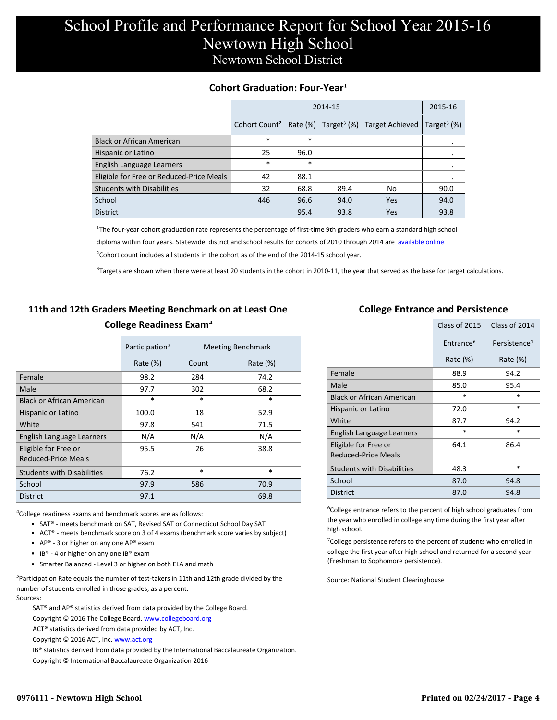#### **Cohort Graduation: Four-Year**<sup>1</sup>

|                                          |        | 2015-16 |      |                                                                            |                            |
|------------------------------------------|--------|---------|------|----------------------------------------------------------------------------|----------------------------|
|                                          |        |         |      | Cohort Count <sup>2</sup> Rate (%) Target <sup>3</sup> (%) Target Achieved | Target <sup>3</sup> $(\%)$ |
| <b>Black or African American</b>         | $\ast$ | $\ast$  |      |                                                                            |                            |
| Hispanic or Latino                       | 25     | 96.0    |      |                                                                            |                            |
| English Language Learners                | $\ast$ | $\ast$  |      |                                                                            |                            |
| Eligible for Free or Reduced-Price Meals | 42     | 88.1    |      |                                                                            |                            |
| <b>Students with Disabilities</b>        | 32     | 68.8    | 89.4 | No                                                                         | 90.0                       |
| School                                   | 446    | 96.6    | 94.0 | Yes                                                                        | 94.0                       |
| <b>District</b>                          |        | 95.4    | 93.8 | Yes                                                                        | 93.8                       |

<sup>1</sup>The four-year cohort graduation rate represents the percentage of first-time 9th graders who earn a standard high school [diploma within four years. Statewide, district and school results for cohorts of 2010 through 2014 are available online.](http://www.sde.ct.gov/sde/cwp/view.asp?a=2758&q=334898)

 $2$ Cohort count includes all students in the cohort as of the end of the 2014-15 school year.

 $3$ Targets are shown when there were at least 20 students in the cohort in 2010-11, the year that served as the base for target calculations.

### **11th and 12th Graders Meeting Benchmark on at Least One College Readiness Exam**⁴

|                                             | Participation <sup>5</sup> |        | <b>Meeting Benchmark</b> |
|---------------------------------------------|----------------------------|--------|--------------------------|
|                                             | Rate $(\%)$                | Count  | Rate $(\%)$              |
| Female                                      | 98.2                       | 284    | 74.2                     |
| Male                                        | 97.7                       | 302    | 68.2                     |
| <b>Black or African American</b>            | $\ast$                     | $\ast$ | $\ast$                   |
| Hispanic or Latino                          | 100.0                      | 18     | 52.9                     |
| White                                       | 97.8                       | 541    | 71.5                     |
| English Language Learners                   | N/A                        | N/A    | N/A                      |
| Eligible for Free or<br>Reduced-Price Meals | 95.5                       | 26     | 38.8                     |
| <b>Students with Disabilities</b>           | 76.2                       | $\ast$ | $\ast$                   |
| School                                      | 97.9                       | 586    | 70.9                     |
| <b>District</b>                             | 97.1                       |        | 69.8                     |

⁴College readiness exams and benchmark scores are as follows:

- SAT® meets benchmark on SAT, Revised SAT or Connecticut School Day SAT
- ACT® meets benchmark score on 3 of 4 exams (benchmark score varies by subject)
- AP® 3 or higher on any one  $AP^®$  exam
- IB® 4 or higher on any one IB® exam
- Smarter Balanced Level 3 or higher on both ELA and math

 $5$ Participation Rate equals the number of test-takers in 11th and 12th grade divided by the number of students enrolled in those grades, as a percent. Sources:

SAT® and AP® statistics derived from data provided by the College Board.

Copyright © 2016 The College Board. www.collegeboard.org

ACT® statistics derived from data provided by ACT, Inc.

Copyright © 2016 ACT, Inc. www.act.org

IB® statistics derived from data provided by the International Baccalaureate Organization.

Copyright © International Baccalaureate Organization 2016

#### **College Entrance and Persistence**

|                                                    | Class of 2015         | Class of 2014            |
|----------------------------------------------------|-----------------------|--------------------------|
|                                                    | Entrance <sup>6</sup> | Persistence <sup>7</sup> |
|                                                    | Rate $(\%)$           | Rate (%)                 |
| Female                                             | 88.9                  | 94.2                     |
| Male                                               | 85.0                  | 95.4                     |
| <b>Black or African American</b>                   | $\ast$                | $\ast$                   |
| Hispanic or Latino                                 | 72.0                  | *                        |
| White                                              | 87.7                  | 94.2                     |
| English Language Learners                          | $\ast$                | $\ast$                   |
| Eligible for Free or<br><b>Reduced-Price Meals</b> | 64.1                  | 86.4                     |
| <b>Students with Disabilities</b>                  | 48.3                  | *                        |
| School                                             | 87.0                  | 94.8                     |
| <b>District</b>                                    | 87.0                  | 94.8                     |

⁶College entrance refers to the percent of high school graduates from the year who enrolled in college any time during the first year after high school.

 $\sigma$ College persistence refers to the percent of students who enrolled in college the first year after high school and returned for a second year (Freshman to Sophomore persistence).

Source: National Student Clearinghouse